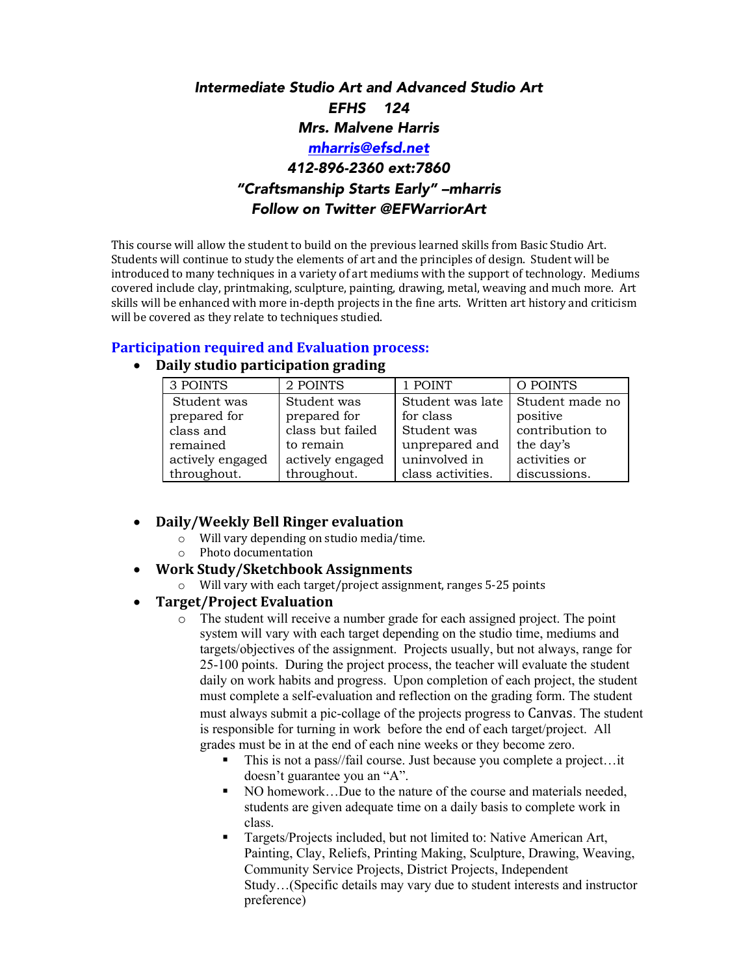# *Intermediate Studio Art and Advanced Studio Art EFHS 124 Mrs. Malvene Harris mharris@efsd.net 412-896-2360 ext:7860 "Craftsmanship Starts Early" –mharris Follow on Twitter @EFWarriorArt*

This course will allow the student to build on the previous learned skills from Basic Studio Art. Students will continue to study the elements of art and the principles of design. Student will be introduced to many techniques in a variety of art mediums with the support of technology. Mediums covered include clay, printmaking, sculpture, painting, drawing, metal, weaving and much more. Art skills will be enhanced with more in-depth projects in the fine arts. Written art history and criticism will be covered as they relate to techniques studied.

## **Participation required and Evaluation process:**

# • **Daily studio participation grading**

| 3 POINTS         | 2 POINTS         | 1 POINT           | O POINTS        |
|------------------|------------------|-------------------|-----------------|
| Student was      | Student was      | Student was late  | Student made no |
| prepared for     | prepared for     | for class         | positive        |
| class and        | class but failed | Student was       | contribution to |
| remained         | to remain        | unprepared and    | the day's       |
| actively engaged | actively engaged | uninvolved in     | activities or   |
| throughout.      | throughout.      | class activities. | discussions.    |

# • **Daily/Weekly Bell Ringer evaluation**

- $\circ$  Will vary depending on studio media/time.
- $\circ$  Photo documentation
- **Work Study/Sketchbook Assignments**

 $\circ$  Will vary with each target/project assignment, ranges 5-25 points

## **Target/Project Evaluation**

- o The student will receive a number grade for each assigned project. The point system will vary with each target depending on the studio time, mediums and targets/objectives of the assignment. Projects usually, but not always, range for 25-100 points. During the project process, the teacher will evaluate the student daily on work habits and progress. Upon completion of each project, the student must complete a self-evaluation and reflection on the grading form. The student must always submit a pic-collage of the projects progress to Canvas. The student is responsible for turning in work before the end of each target/project. All grades must be in at the end of each nine weeks or they become zero.
	- This is not a pass//fail course. Just because you complete a project…it doesn't guarantee you an "A".
	- § NO homework…Due to the nature of the course and materials needed, students are given adequate time on a daily basis to complete work in class.
	- Targets/Projects included, but not limited to: Native American Art, Painting, Clay, Reliefs, Printing Making, Sculpture, Drawing, Weaving, Community Service Projects, District Projects, Independent Study…(Specific details may vary due to student interests and instructor preference)